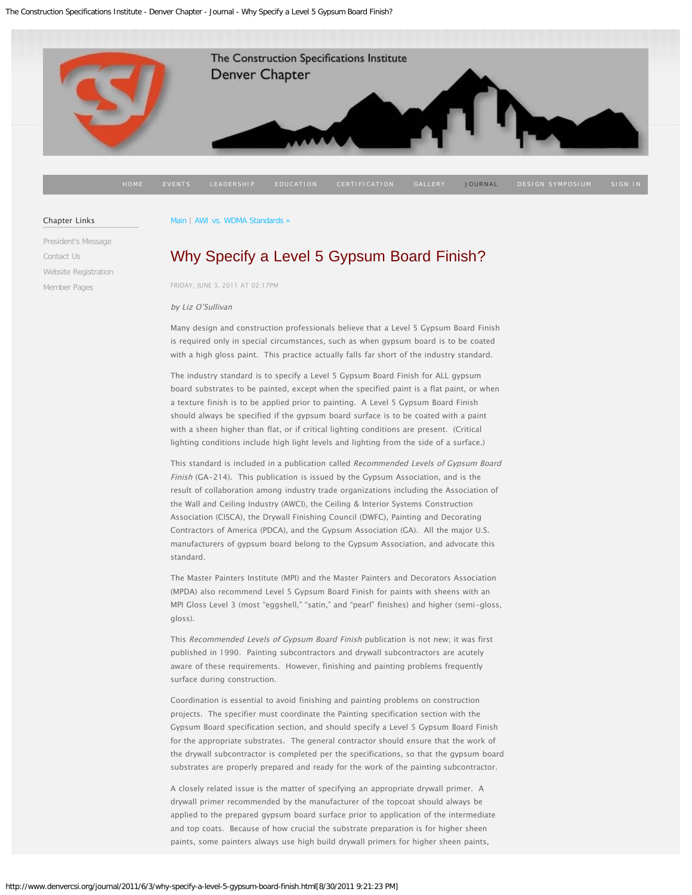<span id="page-0-0"></span>

#### Chapter Links

[President's Message](http://www.denvercsi.org/presidents-message/) [Contact Us](http://www.denvercsi.org/contact-us-denver-csi/) [Website Registration](http://www.denvercsi.org/website-registration/) [Member Pages](http://www.denvercsi.org/welcome-members/)

### [Main](http://www.denvercsi.org/journal/) | [AWI vs. WDMA Standards »](http://www.denvercsi.org/journal/2011/3/6/awi-vs-wdma-standards.html)

# [Why Specify a Level 5 Gypsum Board](#page-0-0) Finish?

FRIDAY, JUNE 3, 2011 AT 02:17PM

### by Liz O'Sullivan

Many design and construction professionals believe that a Level 5 Gypsum Board Finish is required only in special circumstances, such as when gypsum board is to be coated with a high gloss paint. This practice actually falls far short of the industry standard.

The industry standard is to specify a Level 5 Gypsum Board Finish for ALL gypsum board substrates to be painted, except when the specified paint is a flat paint, or when a texture finish is to be applied prior to painting. A Level 5 Gypsum Board Finish should always be specified if the gypsum board surface is to be coated with a paint with a sheen higher than flat, or if critical lighting conditions are present. (Critical lighting conditions include high light levels and lighting from the side of a surface.)

This standard is included in a publication called Recommended Levels of Gypsum Board Finish (GA-214). This publication is issued by the Gypsum Association, and is the result of collaboration among industry trade organizations including the Association of the Wall and Ceiling Industry (AWCI), the Ceiling & Interior Systems Construction Association (CISCA), the Drywall Finishing Council (DWFC), Painting and Decorating Contractors of America (PDCA), and the Gypsum Association (GA). All the major U.S. manufacturers of gypsum board belong to the Gypsum Association, and advocate this standard.

The Master Painters Institute (MPI) and the Master Painters and Decorators Association (MPDA) also recommend Level 5 Gypsum Board Finish for paints with sheens with an MPI Gloss Level 3 (most "eggshell," "satin," and "pearl" finishes) and higher (semi-gloss, gloss).

This Recommended Levels of Gypsum Board Finish publication is not new; it was first published in 1990. Painting subcontractors and drywall subcontractors are acutely aware of these requirements. However, finishing and painting problems frequently surface during construction.

Coordination is essential to avoid finishing and painting problems on construction projects. The specifier must coordinate the Painting specification section with the Gypsum Board specification section, and should specify a Level 5 Gypsum Board Finish for the appropriate substrates. The general contractor should ensure that the work of the drywall subcontractor is completed per the specifications, so that the gypsum board substrates are properly prepared and ready for the work of the painting subcontractor.

A closely related issue is the matter of specifying an appropriate drywall primer. A drywall primer recommended by the manufacturer of the topcoat should always be applied to the prepared gypsum board surface prior to application of the intermediate and top coats. Because of how crucial the substrate preparation is for higher sheen paints, some painters always use high build drywall primers for higher sheen paints,